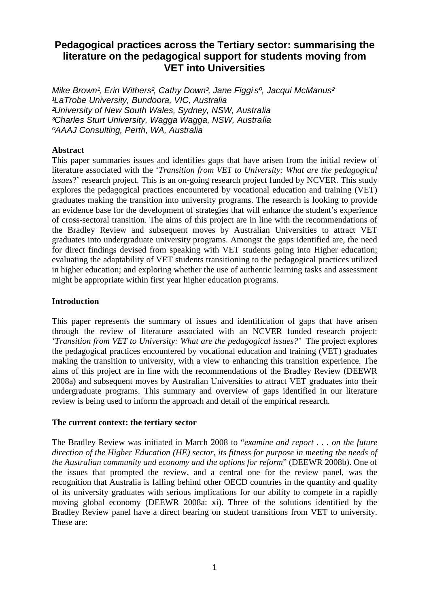# **Pedagogical practices across the Tertiary sector: summarising the literature on the pedagogical support for students moving from VET into Universities**

Mike Brown<sup>1</sup>, Erin Withers<sup>2</sup>, Cathy Down<sup>3</sup>, Jane Figgi s<sup>o</sup>, Jacqui McManus<sup>2</sup> LaTrobe University, Bundoora, VIC. Australia ²University of New South Wales, Sydney, NSW, Australia ³Charles Sturt University, Wagga Wagga, NSW, Australia ºAAAJ Consulting, Perth, WA, Australia

#### **Abstract**

This paper summaries issues and identifies gaps that have arisen from the initial review of literature associated with the '*Transition from VET to University: What are the pedagogical issues*?' research project. This is an on-going research project funded by NCVER. This study explores the pedagogical practices encountered by vocational education and training (VET) graduates making the transition into university programs. The research is looking to provide an evidence base for the development of strategies that will enhance the student's experience of cross-sectoral transition. The aims of this project are in line with the recommendations of the Bradley Review and subsequent moves by Australian Universities to attract VET graduates into undergraduate university programs. Amongst the gaps identified are, the need for direct findings devised from speaking with VET students going into Higher education; evaluating the adaptability of VET students transitioning to the pedagogical practices utilized in higher education; and exploring whether the use of authentic learning tasks and assessment might be appropriate within first year higher education programs.

#### **Introduction**

This paper represents the summary of issues and identification of gaps that have arisen through the review of literature associated with an NCVER funded research project: *'Transition from VET to University: What are the pedagogical issues?'* The project explores the pedagogical practices encountered by vocational education and training (VET) graduates making the transition to university, with a view to enhancing this transition experience. The aims of this project are in line with the recommendations of the Bradley Review (DEEWR 2008a) and subsequent moves by Australian Universities to attract VET graduates into their undergraduate programs. This summary and overview of gaps identified in our literature review is being used to inform the approach and detail of the empirical research.

#### **The current context: the tertiary sector**

The Bradley Review was initiated in March 2008 to "*examine and report . . . on the future direction of the Higher Education (HE) sector, its fitness for purpose in meeting the needs of the Australian community and economy and the options for reform*" (DEEWR 2008b). One of the issues that prompted the review, and a central one for the review panel, was the recognition that Australia is falling behind other OECD countries in the quantity and quality of its university graduates with serious implications for our ability to compete in a rapidly moving global economy (DEEWR 2008a: xi). Three of the solutions identified by the Bradley Review panel have a direct bearing on student transitions from VET to university. These are: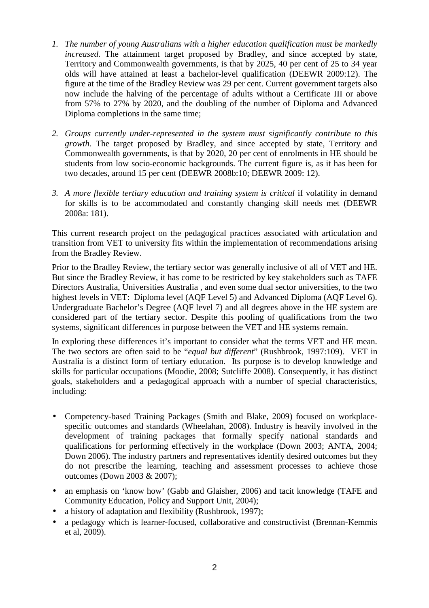- *1. The number of young Australians with a higher education qualification must be markedly increased.* The attainment target proposed by Bradley, and since accepted by state, Territory and Commonwealth governments, is that by 2025, 40 per cent of 25 to 34 year olds will have attained at least a bachelor-level qualification (DEEWR 2009:12). The figure at the time of the Bradley Review was 29 per cent. Current government targets also now include the halving of the percentage of adults without a Certificate III or above from 57% to 27% by 2020, and the doubling of the number of Diploma and Advanced Diploma completions in the same time;
- *2. Groups currently under-represented in the system must significantly contribute to this growth.* The target proposed by Bradley, and since accepted by state, Territory and Commonwealth governments, is that by 2020, 20 per cent of enrolments in HE should be students from low socio-economic backgrounds. The current figure is, as it has been for two decades, around 15 per cent (DEEWR 2008b:10; DEEWR 2009: 12).
- *3. A more flexible tertiary education and training system is critical* if volatility in demand for skills is to be accommodated and constantly changing skill needs met (DEEWR 2008a: 181).

This current research project on the pedagogical practices associated with articulation and transition from VET to university fits within the implementation of recommendations arising from the Bradley Review.

Prior to the Bradley Review, the tertiary sector was generally inclusive of all of VET and HE. But since the Bradley Review, it has come to be restricted by key stakeholders such as TAFE Directors Australia, Universities Australia , and even some dual sector universities, to the two highest levels in VET: Diploma level (AQF Level 5) and Advanced Diploma (AQF Level 6). Undergraduate Bachelor's Degree (AQF level 7) and all degrees above in the HE system are considered part of the tertiary sector. Despite this pooling of qualifications from the two systems, significant differences in purpose between the VET and HE systems remain.

In exploring these differences it's important to consider what the terms VET and HE mean. The two sectors are often said to be "*equal but different*" (Rushbrook, 1997:109). VET in Australia is a distinct form of tertiary education. Its purpose is to develop knowledge and skills for particular occupations (Moodie, 2008; Sutcliffe 2008). Consequently, it has distinct goals, stakeholders and a pedagogical approach with a number of special characteristics, including:

- Competency-based Training Packages (Smith and Blake, 2009) focused on workplacespecific outcomes and standards (Wheelahan, 2008). Industry is heavily involved in the development of training packages that formally specify national standards and qualifications for performing effectively in the workplace (Down 2003; ANTA, 2004; Down 2006). The industry partners and representatives identify desired outcomes but they do not prescribe the learning, teaching and assessment processes to achieve those outcomes (Down 2003 & 2007);
- an emphasis on 'know how' (Gabb and Glaisher, 2006) and tacit knowledge (TAFE and Community Education, Policy and Support Unit, 2004);
- a history of adaptation and flexibility (Rushbrook, 1997);
- a pedagogy which is learner-focused, collaborative and constructivist (Brennan-Kemmis et al, 2009).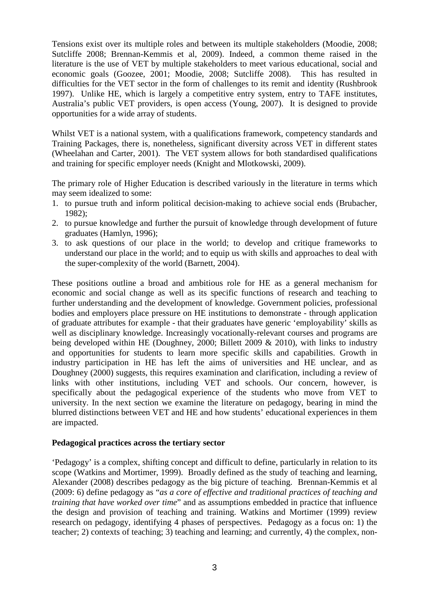Tensions exist over its multiple roles and between its multiple stakeholders (Moodie, 2008; Sutcliffe 2008; Brennan-Kemmis et al, 2009). Indeed, a common theme raised in the literature is the use of VET by multiple stakeholders to meet various educational, social and economic goals (Goozee, 2001; Moodie, 2008; Sutcliffe 2008). This has resulted in difficulties for the VET sector in the form of challenges to its remit and identity (Rushbrook 1997). Unlike HE, which is largely a competitive entry system, entry to TAFE institutes, Australia's public VET providers, is open access (Young, 2007). It is designed to provide opportunities for a wide array of students.

Whilst VET is a national system, with a qualifications framework, competency standards and Training Packages, there is, nonetheless, significant diversity across VET in different states (Wheelahan and Carter, 2001). The VET system allows for both standardised qualifications and training for specific employer needs (Knight and Mlotkowski, 2009).

The primary role of Higher Education is described variously in the literature in terms which may seem idealized to some:

- 1. to pursue truth and inform political decision-making to achieve social ends (Brubacher, 1982);
- 2. to pursue knowledge and further the pursuit of knowledge through development of future graduates (Hamlyn, 1996);
- 3. to ask questions of our place in the world; to develop and critique frameworks to understand our place in the world; and to equip us with skills and approaches to deal with the super-complexity of the world (Barnett, 2004).

These positions outline a broad and ambitious role for HE as a general mechanism for economic and social change as well as its specific functions of research and teaching to further understanding and the development of knowledge. Government policies, professional bodies and employers place pressure on HE institutions to demonstrate - through application of graduate attributes for example - that their graduates have generic 'employability' skills as well as disciplinary knowledge. Increasingly vocationally-relevant courses and programs are being developed within HE (Doughney, 2000; Billett 2009 & 2010), with links to industry and opportunities for students to learn more specific skills and capabilities. Growth in industry participation in HE has left the aims of universities and HE unclear, and as Doughney (2000) suggests, this requires examination and clarification, including a review of links with other institutions, including VET and schools. Our concern, however, is specifically about the pedagogical experience of the students who move from VET to university. In the next section we examine the literature on pedagogy, bearing in mind the blurred distinctions between VET and HE and how students' educational experiences in them are impacted.

#### **Pedagogical practices across the tertiary sector**

'Pedagogy' is a complex, shifting concept and difficult to define, particularly in relation to its scope (Watkins and Mortimer, 1999). Broadly defined as the study of teaching and learning, Alexander (2008) describes pedagogy as the big picture of teaching. Brennan-Kemmis et al (2009: 6) define pedagogy as "*as a core of effective and traditional practices of teaching and training that have worked over time*" and as assumptions embedded in practice that influence the design and provision of teaching and training. Watkins and Mortimer (1999) review research on pedagogy, identifying 4 phases of perspectives. Pedagogy as a focus on: 1) the teacher; 2) contexts of teaching; 3) teaching and learning; and currently, 4) the complex, non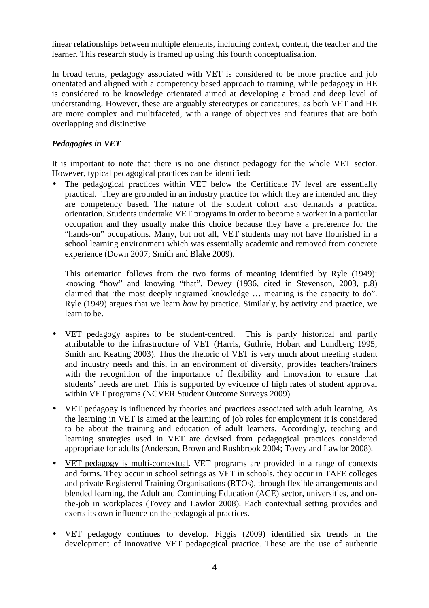linear relationships between multiple elements, including context, content, the teacher and the learner. This research study is framed up using this fourth conceptualisation.

In broad terms, pedagogy associated with VET is considered to be more practice and job orientated and aligned with a competency based approach to training, while pedagogy in HE is considered to be knowledge orientated aimed at developing a broad and deep level of understanding. However, these are arguably stereotypes or caricatures; as both VET and HE are more complex and multifaceted, with a range of objectives and features that are both overlapping and distinctive

# *Pedagogies in VET*

It is important to note that there is no one distinct pedagogy for the whole VET sector. However, typical pedagogical practices can be identified:

• The pedagogical practices within VET below the Certificate IV level are essentially practical. They are grounded in an industry practice for which they are intended and they are competency based. The nature of the student cohort also demands a practical orientation. Students undertake VET programs in order to become a worker in a particular occupation and they usually make this choice because they have a preference for the "hands-on" occupations. Many, but not all, VET students may not have flourished in a school learning environment which was essentially academic and removed from concrete experience (Down 2007; Smith and Blake 2009).

This orientation follows from the two forms of meaning identified by Ryle (1949): knowing "how" and knowing "that". Dewey (1936, cited in Stevenson, 2003, p.8) claimed that 'the most deeply ingrained knowledge … meaning is the capacity to do". Ryle (1949) argues that we learn *how* by practice. Similarly, by activity and practice, we learn to be.

- VET pedagogy aspires to be student-centred. This is partly historical and partly attributable to the infrastructure of VET (Harris, Guthrie, Hobart and Lundberg 1995; Smith and Keating 2003). Thus the rhetoric of VET is very much about meeting student and industry needs and this, in an environment of diversity, provides teachers/trainers with the recognition of the importance of flexibility and innovation to ensure that students' needs are met. This is supported by evidence of high rates of student approval within VET programs (NCVER Student Outcome Surveys 2009).
- VET pedagogy is influenced by theories and practices associated with adult learning. As the learning in VET is aimed at the learning of job roles for employment it is considered to be about the training and education of adult learners. Accordingly, teaching and learning strategies used in VET are devised from pedagogical practices considered appropriate for adults (Anderson, Brown and Rushbrook 2004; Tovey and Lawlor 2008).
- VET pedagogy is multi-contextual*.* VET programs are provided in a range of contexts and forms. They occur in school settings as VET in schools, they occur in TAFE colleges and private Registered Training Organisations (RTOs), through flexible arrangements and blended learning, the Adult and Continuing Education (ACE) sector, universities, and onthe-job in workplaces (Tovey and Lawlor 2008). Each contextual setting provides and exerts its own influence on the pedagogical practices.
- VET pedagogy continues to develop. Figgis (2009) identified six trends in the development of innovative VET pedagogical practice. These are the use of authentic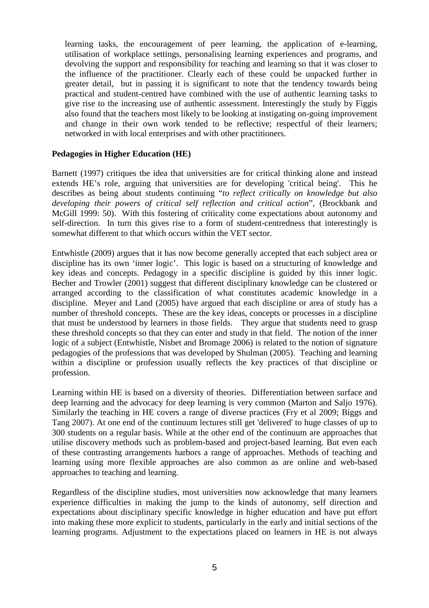learning tasks, the encouragement of peer learning, the application of e-learning, utilisation of workplace settings, personalising learning experiences and programs, and devolving the support and responsibility for teaching and learning so that it was closer to the influence of the practitioner. Clearly each of these could be unpacked further in greater detail, but in passing it is significant to note that the tendency towards being practical and student-centred have combined with the use of authentic learning tasks to give rise to the increasing use of authentic assessment. Interestingly the study by Figgis also found that the teachers most likely to be looking at instigating on-going improvement and change in their own work tended to be reflective; respectful of their learners; networked in with local enterprises and with other practitioners.

#### **Pedagogies in Higher Education (HE)**

Barnett (1997) critiques the idea that universities are for critical thinking alone and instead extends HE's role, arguing that universities are for developing 'critical being'. This he describes as being about students continuing "*to reflect critically on knowledge but also developing their powers of critical self reflection and critical action*", (Brockbank and McGill 1999: 50). With this fostering of criticality come expectations about autonomy and self-direction. In turn this gives rise to a form of student-centredness that interestingly is somewhat different to that which occurs within the VET sector.

Entwhistle (2009) argues that it has now become generally accepted that each subject area or discipline has its own 'inner logic'. This logic is based on a structuring of knowledge and key ideas and concepts. Pedagogy in a specific discipline is guided by this inner logic. Becher and Trowler (2001) suggest that different disciplinary knowledge can be clustered or arranged according to the classification of what constitutes academic knowledge in a discipline. Meyer and Land (2005) have argued that each discipline or area of study has a number of threshold concepts. These are the key ideas, concepts or processes in a discipline that must be understood by learners in those fields. They argue that students need to grasp these threshold concepts so that they can enter and study in that field. The notion of the inner logic of a subject (Entwhistle, Nisbet and Bromage 2006) is related to the notion of signature pedagogies of the professions that was developed by Shulman (2005). Teaching and learning within a discipline or profession usually reflects the key practices of that discipline or profession.

Learning within HE is based on a diversity of theories. Differentiation between surface and deep learning and the advocacy for deep learning is very common (Marton and Saljo 1976). Similarly the teaching in HE covers a range of diverse practices (Fry et al 2009; Biggs and Tang 2007). At one end of the continuum lectures still get 'delivered' to huge classes of up to 300 students on a regular basis. While at the other end of the continuum are approaches that utilise discovery methods such as problem-based and project-based learning. But even each of these contrasting arrangements harbors a range of approaches. Methods of teaching and learning using more flexible approaches are also common as are online and web-based approaches to teaching and learning.

Regardless of the discipline studies, most universities now acknowledge that many learners experience difficulties in making the jump to the kinds of autonomy, self direction and expectations about disciplinary specific knowledge in higher education and have put effort into making these more explicit to students, particularly in the early and initial sections of the learning programs. Adjustment to the expectations placed on learners in HE is not always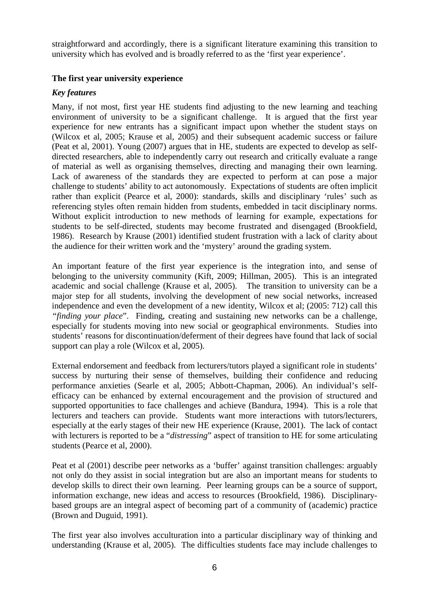straightforward and accordingly, there is a significant literature examining this transition to university which has evolved and is broadly referred to as the 'first year experience'.

# **The first year university experience**

## *Key features*

Many, if not most, first year HE students find adjusting to the new learning and teaching environment of university to be a significant challenge. It is argued that the first year experience for new entrants has a significant impact upon whether the student stays on (Wilcox et al, 2005; Krause et al, 2005) and their subsequent academic success or failure (Peat et al, 2001). Young (2007) argues that in HE, students are expected to develop as selfdirected researchers, able to independently carry out research and critically evaluate a range of material as well as organising themselves, directing and managing their own learning. Lack of awareness of the standards they are expected to perform at can pose a major challenge to students' ability to act autonomously. Expectations of students are often implicit rather than explicit (Pearce et al, 2000): standards, skills and disciplinary 'rules' such as referencing styles often remain hidden from students, embedded in tacit disciplinary norms. Without explicit introduction to new methods of learning for example, expectations for students to be self-directed, students may become frustrated and disengaged (Brookfield, 1986). Research by Krause (2001) identified student frustration with a lack of clarity about the audience for their written work and the 'mystery' around the grading system.

An important feature of the first year experience is the integration into, and sense of belonging to the university community (Kift, 2009; Hillman, 2005).This is an integrated academic and social challenge (Krause et al, 2005). The transition to university can be a major step for all students, involving the development of new social networks, increased independence and even the development of a new identity, Wilcox et al; (2005: 712) call this *"finding your place*". Finding, creating and sustaining new networks can be a challenge, especially for students moving into new social or geographical environments. Studies into students' reasons for discontinuation/deferment of their degrees have found that lack of social support can play a role (Wilcox et al, 2005).

External endorsement and feedback from lecturers/tutors played a significant role in students' success by nurturing their sense of themselves, building their confidence and reducing performance anxieties (Searle et al, 2005; Abbott-Chapman, 2006). An individual's selfefficacy can be enhanced by external encouragement and the provision of structured and supported opportunities to face challenges and achieve (Bandura, 1994). This is a role that lecturers and teachers can provide. Students want more interactions with tutors/lecturers, especially at the early stages of their new HE experience (Krause, 2001). The lack of contact with lecturers is reported to be a "*distressing*" aspect of transition to HE for some articulating students (Pearce et al, 2000).

Peat et al (2001) describe peer networks as a 'buffer' against transition challenges: arguably not only do they assist in social integration but are also an important means for students to develop skills to direct their own learning. Peer learning groups can be a source of support, information exchange, new ideas and access to resources (Brookfield, 1986). Disciplinarybased groups are an integral aspect of becoming part of a community of (academic) practice (Brown and Duguid, 1991).

The first year also involves acculturation into a particular disciplinary way of thinking and understanding (Krause et al, 2005). The difficulties students face may include challenges to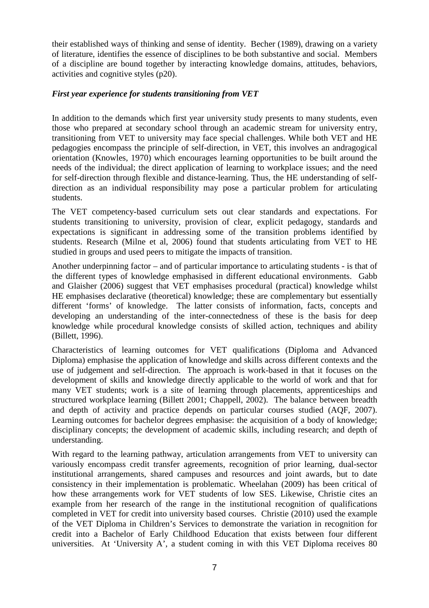their established ways of thinking and sense of identity. Becher (1989), drawing on a variety of literature, identifies the essence of disciplines to be both substantive and social. Members of a discipline are bound together by interacting knowledge domains, attitudes, behaviors, activities and cognitive styles (p20).

## *First year experience for students transitioning from VET*

In addition to the demands which first year university study presents to many students, even those who prepared at secondary school through an academic stream for university entry, transitioning from VET to university may face special challenges. While both VET and HE pedagogies encompass the principle of self-direction, in VET, this involves an andragogical orientation (Knowles, 1970) which encourages learning opportunities to be built around the needs of the individual; the direct application of learning to workplace issues; and the need for self-direction through flexible and distance-learning. Thus, the HE understanding of selfdirection as an individual responsibility may pose a particular problem for articulating students.

The VET competency-based curriculum sets out clear standards and expectations. For students transitioning to university, provision of clear, explicit pedagogy, standards and expectations is significant in addressing some of the transition problems identified by students. Research (Milne et al, 2006) found that students articulating from VET to HE studied in groups and used peers to mitigate the impacts of transition.

Another underpinning factor – and of particular importance to articulating students - is that of the different types of knowledge emphasised in different educational environments. Gabb and Glaisher (2006) suggest that VET emphasises procedural (practical) knowledge whilst HE emphasises declarative (theoretical) knowledge; these are complementary but essentially different 'forms' of knowledge. The latter consists of information, facts, concepts and developing an understanding of the inter-connectedness of these is the basis for deep knowledge while procedural knowledge consists of skilled action, techniques and ability (Billett, 1996).

Characteristics of learning outcomes for VET qualifications (Diploma and Advanced Diploma) emphasise the application of knowledge and skills across different contexts and the use of judgement and self-direction. The approach is work-based in that it focuses on the development of skills and knowledge directly applicable to the world of work and that for many VET students; work is a site of learning through placements, apprenticeships and structured workplace learning (Billett 2001; Chappell, 2002). The balance between breadth and depth of activity and practice depends on particular courses studied (AQF, 2007). Learning outcomes for bachelor degrees emphasise: the acquisition of a body of knowledge; disciplinary concepts; the development of academic skills, including research; and depth of understanding.

With regard to the learning pathway, articulation arrangements from VET to university can variously encompass credit transfer agreements, recognition of prior learning, dual-sector institutional arrangements, shared campuses and resources and joint awards, but to date consistency in their implementation is problematic. Wheelahan (2009) has been critical of how these arrangements work for VET students of low SES. Likewise, Christie cites an example from her research of the range in the institutional recognition of qualifications completed in VET for credit into university based courses. Christie (2010) used the example of the VET Diploma in Children's Services to demonstrate the variation in recognition for credit into a Bachelor of Early Childhood Education that exists between four different universities. At 'University A', a student coming in with this VET Diploma receives 80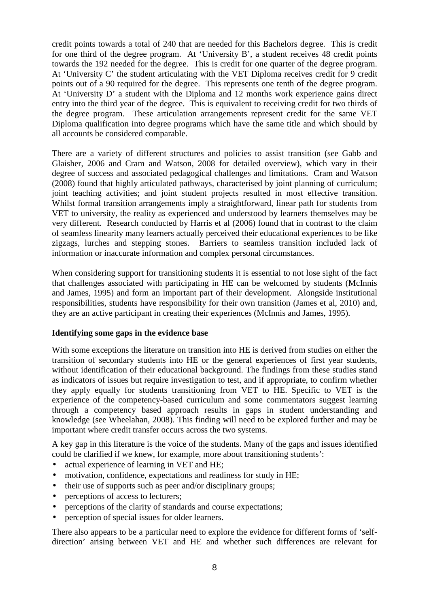credit points towards a total of 240 that are needed for this Bachelors degree. This is credit for one third of the degree program. At 'University B', a student receives 48 credit points towards the 192 needed for the degree. This is credit for one quarter of the degree program. At 'University C' the student articulating with the VET Diploma receives credit for 9 credit points out of a 90 required for the degree. This represents one tenth of the degree program. At 'University D' a student with the Diploma and 12 months work experience gains direct entry into the third year of the degree. This is equivalent to receiving credit for two thirds of the degree program. These articulation arrangements represent credit for the same VET Diploma qualification into degree programs which have the same title and which should by all accounts be considered comparable.

There are a variety of different structures and policies to assist transition (see Gabb and Glaisher, 2006 and Cram and Watson, 2008 for detailed overview), which vary in their degree of success and associated pedagogical challenges and limitations. Cram and Watson (2008) found that highly articulated pathways, characterised by joint planning of curriculum; joint teaching activities; and joint student projects resulted in most effective transition. Whilst formal transition arrangements imply a straightforward, linear path for students from VET to university, the reality as experienced and understood by learners themselves may be very different. Research conducted by Harris et al (2006) found that in contrast to the claim of seamless linearity many learners actually perceived their educational experiences to be like zigzags, lurches and stepping stones. Barriers to seamless transition included lack of information or inaccurate information and complex personal circumstances.

When considering support for transitioning students it is essential to not lose sight of the fact that challenges associated with participating in HE can be welcomed by students (McInnis and James, 1995) and form an important part of their development. Alongside institutional responsibilities, students have responsibility for their own transition (James et al, 2010) and, they are an active participant in creating their experiences (McInnis and James, 1995).

# **Identifying some gaps in the evidence base**

With some exceptions the literature on transition into HE is derived from studies on either the transition of secondary students into HE or the general experiences of first year students, without identification of their educational background. The findings from these studies stand as indicators of issues but require investigation to test, and if appropriate, to confirm whether they apply equally for students transitioning from VET to HE. Specific to VET is the experience of the competency-based curriculum and some commentators suggest learning through a competency based approach results in gaps in student understanding and knowledge (see Wheelahan, 2008). This finding will need to be explored further and may be important where credit transfer occurs across the two systems.

A key gap in this literature is the voice of the students. Many of the gaps and issues identified could be clarified if we knew, for example, more about transitioning students':

- actual experience of learning in VET and HE;
- motivation, confidence, expectations and readiness for study in HE;
- their use of supports such as peer and/or disciplinary groups;
- perceptions of access to lecturers;
- perceptions of the clarity of standards and course expectations;
- perception of special issues for older learners.

There also appears to be a particular need to explore the evidence for different forms of 'selfdirection' arising between VET and HE and whether such differences are relevant for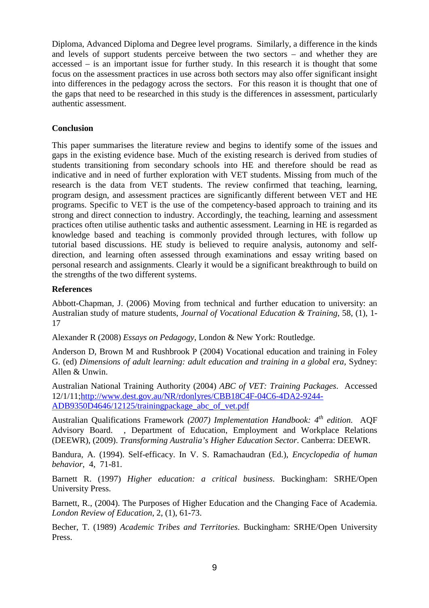Diploma, Advanced Diploma and Degree level programs. Similarly, a difference in the kinds and levels of support students perceive between the two sectors – and whether they are accessed – is an important issue for further study. In this research it is thought that some focus on the assessment practices in use across both sectors may also offer significant insight into differences in the pedagogy across the sectors. For this reason it is thought that one of the gaps that need to be researched in this study is the differences in assessment, particularly authentic assessment.

## **Conclusion**

This paper summarises the literature review and begins to identify some of the issues and gaps in the existing evidence base. Much of the existing research is derived from studies of students transitioning from secondary schools into HE and therefore should be read as indicative and in need of further exploration with VET students. Missing from much of the research is the data from VET students. The review confirmed that teaching, learning, program design, and assessment practices are significantly different between VET and HE programs. Specific to VET is the use of the competency-based approach to training and its strong and direct connection to industry. Accordingly, the teaching, learning and assessment practices often utilise authentic tasks and authentic assessment. Learning in HE is regarded as knowledge based and teaching is commonly provided through lectures, with follow up tutorial based discussions. HE study is believed to require analysis, autonomy and selfdirection, and learning often assessed through examinations and essay writing based on personal research and assignments. Clearly it would be a significant breakthrough to build on the strengths of the two different systems.

#### **References**

Abbott-Chapman, J. (2006) Moving from technical and further education to university: an Australian study of mature students, *Journal of Vocational Education & Training*, 58, (1), 1- 17

Alexander R (2008) *Essays on Pedagogy*, London & New York: Routledge.

Anderson D, Brown M and Rushbrook P (2004) Vocational education and training in Foley G. (ed) *Dimensions of adult learning: adult education and training in a global era,* Sydney: Allen & Unwin.

Australian National Training Authority (2004) *ABC of VET: Training Packages*. Accessed 12/1/11;http://www.dest.gov.au/NR/rdonlyres/CBB18C4F-04C6-4DA2-9244- ADB9350D4646/12125/trainingpackage\_abc\_of\_vet.pdf

Australian Qualifications Framework *(2007) Implementation Handbook: 4th edition.* AQF Advisory Board. , Department of Education, Employment and Workplace Relations (DEEWR), (2009). *Transforming Australia's Higher Education Sector*. Canberra: DEEWR.

Bandura, A. (1994). Self-efficacy. In V. S. Ramachaudran (Ed.), *Encyclopedia of human behavior*, 4, 71-81.

Barnett R. (1997) *Higher education: a critical business*. Buckingham: SRHE/Open University Press.

Barnett, R., (2004). The Purposes of Higher Education and the Changing Face of Academia. *London Review of Education*, 2, (1), 61-73.

Becher, T. (1989) *Academic Tribes and Territories*. Buckingham: SRHE/Open University Press.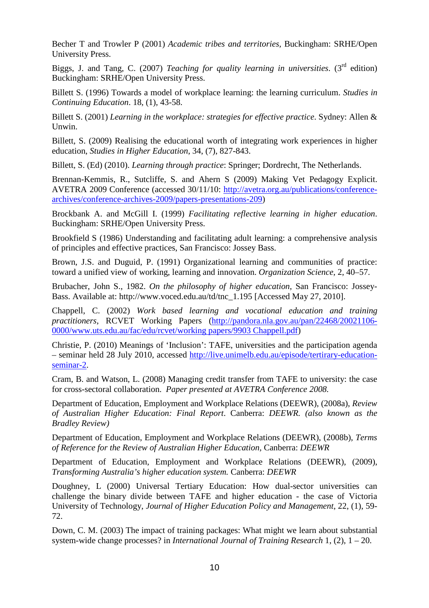Becher T and Trowler P (2001) *Academic tribes and territories,* Buckingham: SRHE/Open University Press.

Biggs, J. and Tang, C. (2007) *Teaching for quality learning in universities*. (3rd edition) Buckingham: SRHE/Open University Press.

Billett S. (1996) Towards a model of workplace learning: the learning curriculum. *Studies in Continuing Education*. 18, (1), 43-58.

Billett S. (2001) *Learning in the workplace: strategies for effective practice*. Sydney: Allen & Unwin.

Billett, S. (2009) Realising the educational worth of integrating work experiences in higher education, *Studies in Higher Education*, 34, (7), 827-843.

Billett, S. (Ed) (2010). *Learning through practice*: Springer; Dordrecht, The Netherlands.

Brennan-Kemmis, R., Sutcliffe, S. and Ahern S (2009) Making Vet Pedagogy Explicit. AVETRA 2009 Conference (accessed 30/11/10: http://avetra.org.au/publications/conferencearchives/conference-archives-2009/papers-presentations-209)

Brockbank A. and McGill I. (1999) *Facilitating reflective learning in higher education*. Buckingham: SRHE/Open University Press.

Brookfield S (1986) Understanding and facilitating adult learning: a comprehensive analysis of principles and effective practices, San Francisco: Jossey Bass.

Brown, J.S. and Duguid, P. (1991) Organizational learning and communities of practice: toward a unified view of working, learning and innovation. *Organization Science*, 2, 40–57.

Brubacher, John S., 1982. *On the philosophy of higher education*, San Francisco: Jossey-Bass. Available at: http://www.voced.edu.au/td/tnc\_1.195 [Accessed May 27, 2010].

Chappell, C. (2002) *Work based learning and vocational education and training practitioners*, RCVET Working Papers (http://pandora.nla.gov.au/pan/22468/20021106- 0000/www.uts.edu.au/fac/edu/rcvet/working papers/9903 Chappell.pdf)

Christie, P. (2010) Meanings of 'Inclusion': TAFE, universities and the participation agenda – seminar held 28 July 2010, accessed http://live.unimelb.edu.au/episode/tertirary-educationseminar-2.

Cram, B. and Watson, L. (2008) Managing credit transfer from TAFE to university: the case for cross-sectoral collaboration. *Paper presented at AVETRA Conference 2008.* 

Department of Education, Employment and Workplace Relations (DEEWR), (2008a), *Review of Australian Higher Education: Final Report*. Canberra: *DEEWR. (also known as the Bradley Review)* 

Department of Education, Employment and Workplace Relations (DEEWR), (2008b), *Terms of Reference for the Review of Australian Higher Education,* Canberra: *DEEWR* 

Department of Education, Employment and Workplace Relations (DEEWR), (2009), *Transforming Australia's higher education system.* Canberra: *DEEWR* 

Doughney, L (2000) Universal Tertiary Education: How dual-sector universities can challenge the binary divide between TAFE and higher education - the case of Victoria University of Technology, *Journal of Higher Education Policy and Management*, 22, (1), 59- 72.

Down, C. M. (2003) The impact of training packages: What might we learn about substantial system-wide change processes? in *International Journal of Training Research* 1, (2), 1 – 20.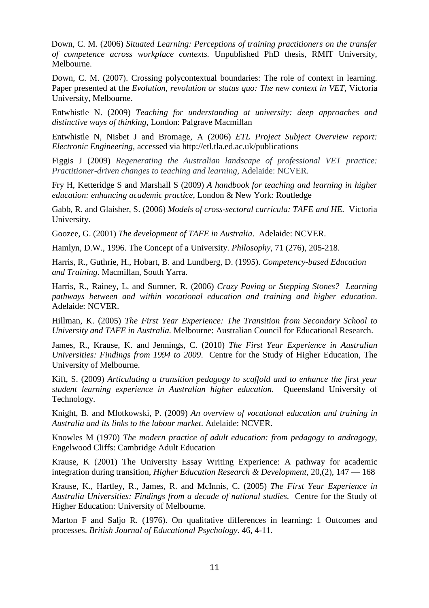Down, C. M. (2006) *Situated Learning: Perceptions of training practitioners on the transfer of competence across workplace contexts.* Unpublished PhD thesis, RMIT University, Melbourne.

Down, C. M. (2007). Crossing polycontextual boundaries: The role of context in learning. Paper presented at the *Evolution, revolution or status quo: The new context in VET*, Victoria University, Melbourne.

Entwhistle N. (2009) *Teaching for understanding at university: deep approaches and distinctive ways of thinking*, London: Palgrave Macmillan

Entwhistle N, Nisbet J and Bromage, A (2006) *ETL Project Subject Overview report: Electronic Engineering*, accessed via http://etl.tla.ed.ac.uk/publications

Figgis J (2009) *Regenerating the Australian landscape of professional VET practice: Practitioner-driven changes to teaching and learning*, Adelaide: NCVER.

Fry H, Ketteridge S and Marshall S (2009) *A handbook for teaching and learning in higher education: enhancing academic practice*, London & New York: Routledge

Gabb, R. and Glaisher, S. (2006) *Models of cross-sectoral curricula: TAFE and HE.* Victoria University.

Goozee, G. (2001) *The development of TAFE in Australia*. Adelaide: NCVER.

Hamlyn, D.W., 1996. The Concept of a University. *Philosophy*, 71 (276), 205-218.

Harris, R., Guthrie, H., Hobart, B. and Lundberg, D. (1995). *Competency-based Education and Training*. Macmillan, South Yarra.

Harris, R., Rainey, L. and Sumner, R. (2006) *Crazy Paving or Stepping Stones? Learning pathways between and within vocational education and training and higher education*. Adelaide: NCVER.

Hillman, K. (2005) *The First Year Experience: The Transition from Secondary School to University and TAFE in Australia.* Melbourne: Australian Council for Educational Research.

James, R., Krause, K. and Jennings, C. (2010) *The First Year Experience in Australian Universities: Findings from 1994 to 2009*. Centre for the Study of Higher Education, The University of Melbourne.

Kift, S. (2009) *Articulating a transition pedagogy to scaffold and to enhance the first year student learning experience in Australian higher education*. Queensland University of Technology.

Knight, B. and Mlotkowski, P. (2009) *An overview of vocational education and training in Australia and its links to the labour market*. Adelaide: NCVER.

Knowles M (1970) *The modern practice of adult education: from pedagogy to andragogy*, Engelwood Cliffs: Cambridge Adult Education

Krause, K (2001) The University Essay Writing Experience: A pathway for academic integration during transition, *Higher Education Research & Development*, 20,(2), 147 — 168

Krause, K., Hartley, R., James, R. and McInnis, C. (2005) *The First Year Experience in Australia Universities: Findings from a decade of national studies.* Centre for the Study of Higher Education: University of Melbourne.

Marton F and Saljo R. (1976). On qualitative differences in learning: 1 Outcomes and processes. *British Journal of Educational Psychology*. 46, 4-11.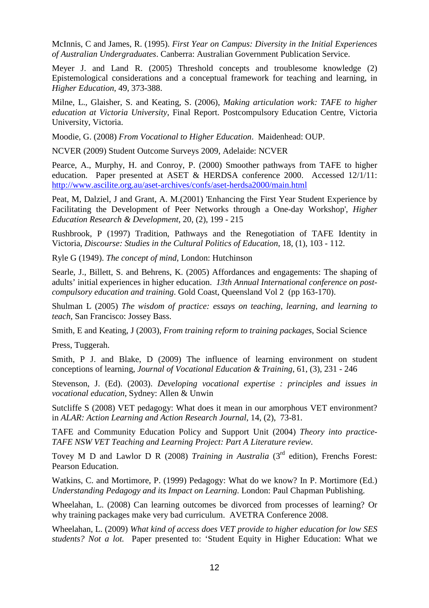McInnis, C and James, R. (1995). *First Year on Campus: Diversity in the Initial Experiences of Australian Undergraduates*. Canberra: Australian Government Publication Service.

Meyer J. and Land R. (2005) Threshold concepts and troublesome knowledge (2) Epistemological considerations and a conceptual framework for teaching and learning, in *Higher Education,* 49, 373-388.

Milne, L., Glaisher, S. and Keating, S. (2006), *Making articulation work: TAFE to higher education at Victoria University*, Final Report. Postcompulsory Education Centre, Victoria University, Victoria.

Moodie, G. (2008) *From Vocational to Higher Education*. Maidenhead: OUP.

NCVER (2009) Student Outcome Surveys 2009, Adelaide: NCVER

Pearce, A., Murphy, H. and Conroy, P. (2000) Smoother pathways from TAFE to higher education. Paper presented at ASET & HERDSA conference 2000. Accessed 12/1/11: http://www.ascilite.org.au/aset-archives/confs/aset-herdsa2000/main.html

Peat, M, Dalziel, J and Grant, A. M.(2001) 'Enhancing the First Year Student Experience by Facilitating the Development of Peer Networks through a One-day Workshop', *Higher Education Research & Development*, 20, (2), 199 - 215

Rushbrook, P (1997) Tradition, Pathways and the Renegotiation of TAFE Identity in Victoria, *Discourse: Studies in the Cultural Politics of Education*, 18, (1), 103 - 112.

Ryle G (1949). *The concept of mind*, London: Hutchinson

Searle, J., Billett, S. and Behrens, K. (2005) Affordances and engagements: The shaping of adults' initial experiences in higher education. *13th Annual International conference on postcompulsory education and training*. Gold Coast, Queensland Vol 2 (pp 163-170).

Shulman L (2005) *The wisdom of practice: essays on teaching, learning, and learning to teach*, San Francisco: Jossey Bass.

Smith, E and Keating, J (2003), *From training reform to training packages*, Social Science

Press, Tuggerah.

Smith, P J. and Blake, D (2009) The influence of learning environment on student conceptions of learning, *Journal of Vocational Education & Training*, 61, (3), 231 - 246

Stevenson, J. (Ed). (2003). *Developing vocational expertise : principles and issues in vocational education*, Sydney: Allen & Unwin

Sutcliffe S (2008) VET pedagogy: What does it mean in our amorphous VET environment? in *ALAR: Action Learning and Action Research Journal*, 14, (2), 73-81.

TAFE and Community Education Policy and Support Unit (2004) *Theory into practice-TAFE NSW VET Teaching and Learning Project: Part A Literature review.* 

Tovey M D and Lawlor D R (2008) *Training in Australia* (3<sup>rd</sup> edition), Frenchs Forest: Pearson Education.

Watkins, C. and Mortimore, P. (1999) Pedagogy: What do we know? In P. Mortimore (Ed.) *Understanding Pedagogy and its Impact on Learning*. London: Paul Chapman Publishing.

Wheelahan, L. (2008) Can learning outcomes be divorced from processes of learning? Or why training packages make very bad curriculum. AVETRA Conference 2008.

Wheelahan, L. (2009) *What kind of access does VET provide to higher education for low SES students? Not a lot.* Paper presented to: 'Student Equity in Higher Education: What we